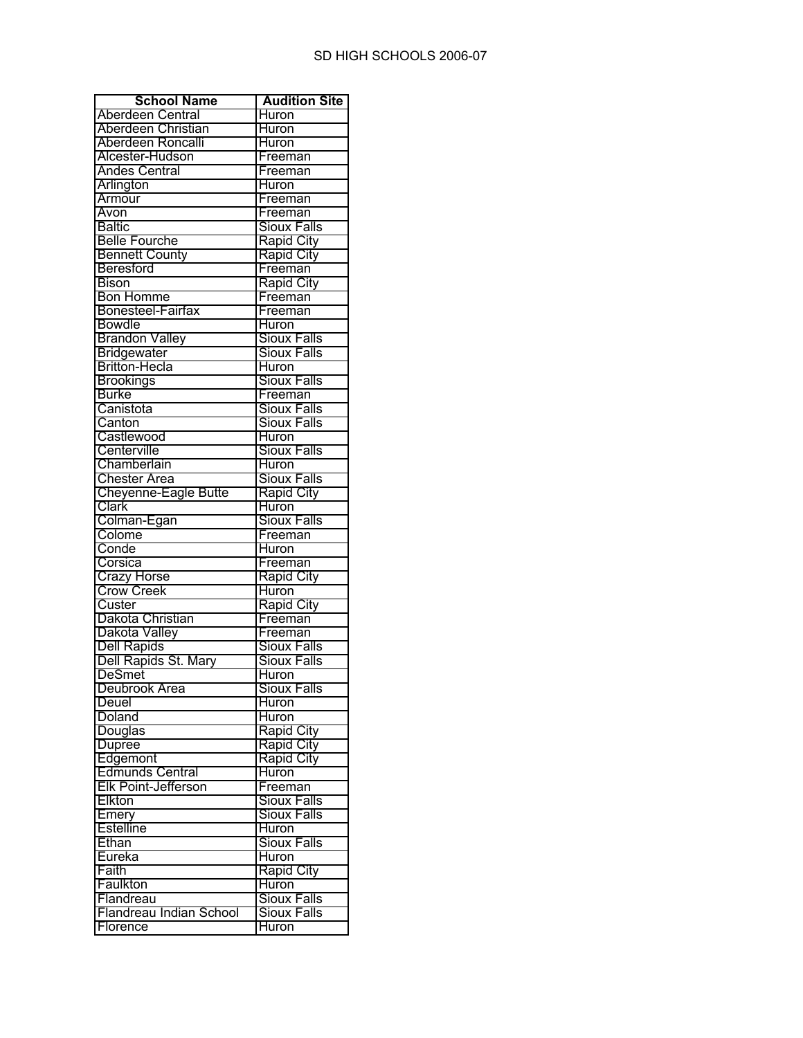| <b>School Name</b>                     | <b>Audition Site</b> |
|----------------------------------------|----------------------|
| Aberdeen Central                       | <b>Huron</b>         |
| Aberdeen Christian                     | Huron                |
| Aberdeen Roncalli                      | Huron                |
| Alcester-Hudson                        | Freeman              |
| <b>Andes Central</b>                   | Freeman              |
| Arlington                              | <b>Huron</b>         |
| Armour                                 | Freeman              |
| Avon                                   | Freeman              |
| <b>Baltic</b>                          | Sioux Falls          |
| <b>Belle Fourche</b>                   | <b>Rapid City</b>    |
| <b>Bennett County</b>                  | Rapid City           |
| Beresford                              | Freeman              |
| <b>Bison</b>                           | <b>Rapid City</b>    |
| <b>Bon Homme</b>                       | Freeman              |
| Bonesteel-Fairfax                      | Freeman              |
| <b>Bowdle</b>                          | Huron                |
| <b>Brandon Valley</b>                  | <b>Sioux Falls</b>   |
| Bridgewater                            | <b>Sioux Falls</b>   |
| Britton-Hecla                          | Huron                |
|                                        | <b>Sioux Falls</b>   |
| <b>Brookings</b><br><b>Burke</b>       | Freeman              |
|                                        |                      |
| Canistota                              | Sioux Falls          |
| Canton                                 | <b>Sioux Falls</b>   |
| Castlewood                             | <b>Huron</b>         |
| Centerville                            | <b>Sioux Falls</b>   |
| Chamberlain                            | Huron                |
| <b>Chester Area</b>                    | Sioux Falls          |
| <b>Cheyenne-Eagle Butte</b>            | <b>Rapid City</b>    |
| Clark                                  | Huron                |
| Colman-Egan                            | <b>Sioux Falls</b>   |
| Colome                                 | Freeman              |
| Conde                                  | Huron                |
| Corsica                                | Freeman              |
|                                        | Rapid City           |
| Crazy Horse<br>Crow Creek              | Huron                |
| Custer                                 | <b>Rapid City</b>    |
| Dakota Christian                       | Freeman              |
| Dakota Valley                          | Freeman              |
| <b>Dell Rapids</b>                     | <b>Sioux Falls</b>   |
| Dell Rapids St. Mary                   | <b>Sioux Falls</b>   |
| <b>DeSmet</b>                          | Huron                |
| Deubrook Area                          | Sioux Falls          |
| Deuel                                  | <b>Huron</b>         |
| Doland                                 | Huron                |
| Douglas                                | <b>Rapid City</b>    |
| <b>Dupree</b>                          | <b>Rapid City</b>    |
| Edgemont                               | <b>Rapid City</b>    |
|                                        | Huron                |
| Edmunds Central<br>Elk Point-Jefferson | Freeman              |
| Elkton                                 | <b>Sioux Falls</b>   |
| Emery                                  | <b>Sioux Falls</b>   |
| <b>Estelline</b>                       | Huron                |
| Ethan                                  | <b>Sioux Falls</b>   |
| Eureka                                 | Huron                |
| Faith                                  | <b>Rapid City</b>    |
| Faulkton                               | <b>Huron</b>         |
| Flandreau                              | <b>Sioux Falls</b>   |
| Flandreau Indian School                | <b>Sioux Falls</b>   |
| Florence                               | Huron                |
|                                        |                      |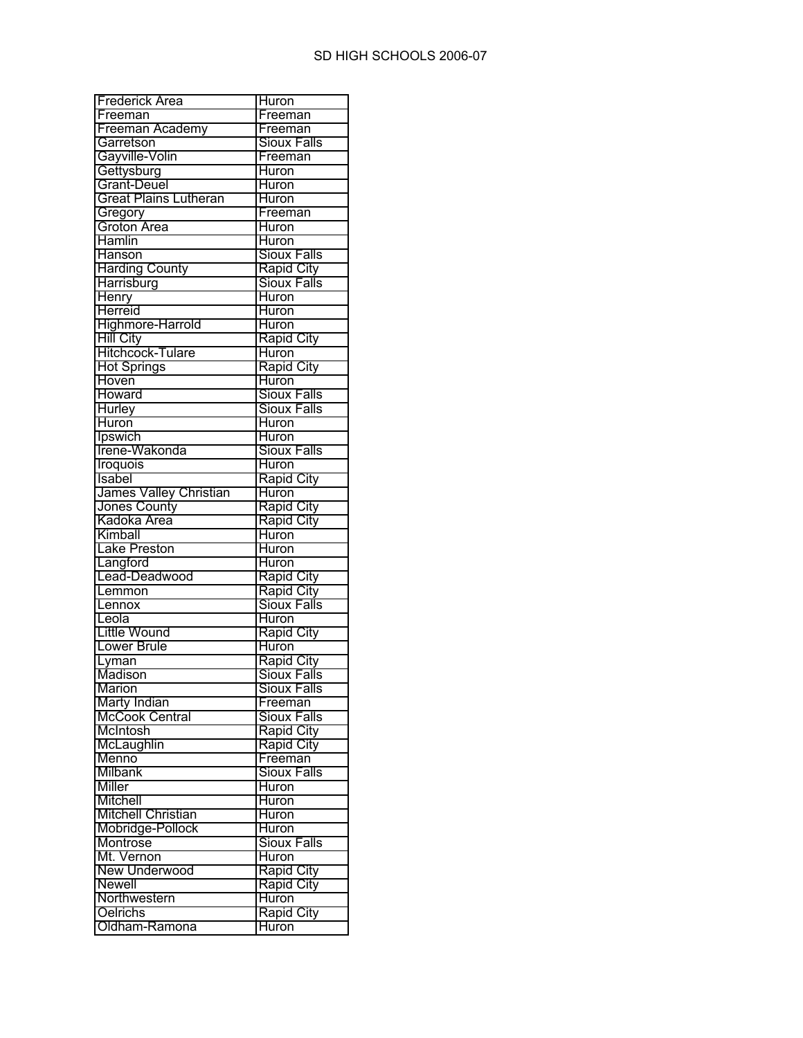| <b>Frederick Area</b>        | Huron                      |
|------------------------------|----------------------------|
| Freeman                      | Freeman                    |
| Freeman Academy              | Freeman                    |
| Garretson                    | <b>Sioux Falls</b>         |
| Gayville-Volin               | Freeman                    |
| Gettysburg                   | <b>Huron</b>               |
| Grant-Deuel                  | Huron                      |
| <b>Great Plains Lutheran</b> | Huron                      |
|                              | Freeman                    |
| Gregory<br>Groton Area       | Huron                      |
| Hamlin                       | Huron                      |
| Hanson                       | <b>Sioux Falls</b>         |
| <b>Harding County</b>        | Rapid City                 |
| Harrisburg                   | Sioux Falls                |
| Henry                        | <b>Huron</b>               |
| Herreid                      | Huron                      |
| Highmore-Harrold             | <b>Huron</b>               |
| <b>Hill City</b>             |                            |
|                              | <b>Rapid City</b>          |
| Hitchcock-Tulare             | <b>Huron</b>               |
| <b>Hot Springs</b>           | <b>Rapid City</b>          |
| Hoven                        | Huron                      |
| Howard                       | <b>Sioux Falls</b>         |
| <b>Hurley</b>                | <b>Sioux Falls</b>         |
| Huron                        | Huron                      |
| Ipswich                      | <b>Huron</b>               |
| Irene-Wakonda                | <b>Sioux Falls</b>         |
| Iroquois                     | <b>Huron</b>               |
| Isabel                       | <b>Rapid City</b>          |
| James Valley Christian       | Huron                      |
| Jones County                 | Rapid City                 |
|                              |                            |
| Kadoka Area                  | Rapid City                 |
| Kimball                      | Huron                      |
| <b>Lake Preston</b>          | <b>Huron</b>               |
|                              | Huron                      |
| Langford<br>Lead-Deadwood    | <b>Rapid City</b>          |
| Lemmon                       |                            |
| Lennox                       | <b>Rapid City</b>          |
| Leola                        | Sioux Falls                |
|                              | Huron                      |
| <b>Little Wound</b>          | <b>Rapid City</b>          |
| <b>Lower Brule</b>           | Huron                      |
| Lyman                        | <b>Rapid City</b>          |
| Madison                      | <b>Sioux Falls</b>         |
| <b>Marion</b>                | Sioux Falls                |
| <b>Marty Indian</b>          | Freeman                    |
| McCook Central               | <b>Sioux Falls</b>         |
| McIntosh                     | <b>Rapid City</b>          |
| McLaughlin                   | <b>Rapid City</b>          |
| Menno                        | Freeman                    |
| Milbank                      | <b>Sioux Falls</b>         |
| Miller                       | Huron                      |
| Mitchell                     | <b>Huron</b>               |
| <b>Mitchell Christian</b>    | <b>Huron</b>               |
| Mobridge-Pollock             | <b>Huron</b>               |
| Montrose                     | <b>Sioux Falls</b>         |
| Mt. Vernon                   | <b>Huron</b>               |
| <b>New Underwood</b>         | <b>Rapid City</b>          |
| Newell                       | <b>Rapid City</b>          |
| Northwestern                 | Huron                      |
| Oelrichs<br>Oldham-Ramona    | <b>Rapid City</b><br>Huron |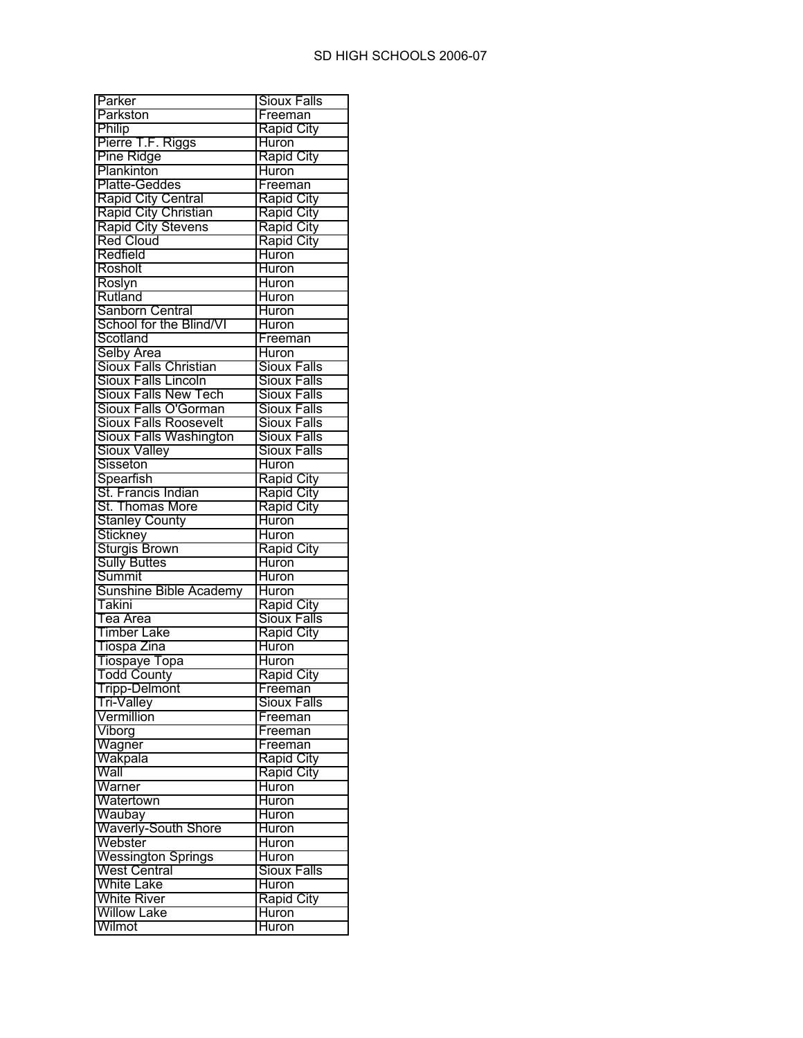| Parker                                                           | Sioux Falls                             |
|------------------------------------------------------------------|-----------------------------------------|
| Parkston                                                         | Freeman                                 |
| Philip                                                           | Rapid City                              |
| Pierre T.F. Riggs                                                | Huron                                   |
| Pine Ridge                                                       | <b>Rapid City</b>                       |
| Plankinton                                                       | Huron                                   |
| Platte-Geddes                                                    | Freeman                                 |
|                                                                  | <b>Rapid City</b>                       |
|                                                                  | <b>Rapid City</b>                       |
| Rapid City Central<br>Rapid City Christian<br>Rapid City Stevens | <b>Rapid City</b>                       |
| Red Cloud                                                        | <b>Rapid City</b>                       |
| Redfield                                                         | Huron                                   |
| Rosholt                                                          | <b>Huron</b>                            |
| Roslyn                                                           | <b>Huron</b>                            |
| Rutland                                                          | <b>Huron</b>                            |
| Sanborn Central                                                  | <b>Huron</b>                            |
| School for the Blind/VI                                          | <b>Huron</b>                            |
| Scotland                                                         | Freeman                                 |
| Selby Area                                                       | <b>Huron</b>                            |
| Sioux Falls Christian                                            | <b>Sioux Falls</b>                      |
| Sioux Falls Lincoln                                              | <b>Sioux Falls</b>                      |
| <b>Sioux Falls New Tech</b>                                      | <b>Sioux Falls</b>                      |
| Sioux Falls O'Gorman                                             | <b>Sioux Falls</b>                      |
| <b>Sioux Falls Roosevelt</b>                                     | <b>Sioux Falls</b>                      |
| <b>Sioux Falls Washington</b>                                    | <b>Sioux Falls</b>                      |
| Sioux Valley                                                     | <b>Sioux Falls</b>                      |
| Sisseton                                                         | <b>Huron</b>                            |
| Spearfish                                                        | <b>Rapid City</b>                       |
| St. Francis Indian                                               | <b>Rapid City</b>                       |
| St. Thomas More                                                  | Rapid City                              |
| <b>Stanley County</b>                                            | Huron                                   |
| Stickney                                                         | Huron                                   |
| <b>Sturgis Brown</b>                                             | <b>Rapid City</b>                       |
| <b>Sully Buttes</b>                                              | Huron                                   |
| Summit                                                           | Huron                                   |
| Sunshine Bible Academy                                           | <b>Huron</b>                            |
| Takini                                                           |                                         |
| Tea Area                                                         | <b>Rapid City</b><br><b>Sioux Falls</b> |
| <b>Timber Lake</b>                                               |                                         |
|                                                                  | <b>Rapid City</b><br>Huron              |
| Tiospa Zina                                                      |                                         |
| Tiospaye Topa                                                    | <b>Huron</b>                            |
| <b>Todd County</b>                                               | <b>Rapid City</b>                       |
| <b>Tripp-Delmont</b>                                             | Freeman                                 |
| Tri-Valley<br>Vermillion<br>Viborg                               | <b>Sioux Falls</b>                      |
|                                                                  | Freeman                                 |
|                                                                  | Freeman                                 |
| Wagner                                                           | Freeman                                 |
| Wakpala<br>Wall                                                  | <b>Rapid City</b>                       |
|                                                                  | <b>Rapid City</b>                       |
| Warner<br>Watertown                                              | Huron                                   |
|                                                                  | <b>Huron</b>                            |
| Waubay                                                           | <b>Huron</b>                            |
| <b>Waverly-South Shore</b>                                       | <b>Huron</b>                            |
| Webster<br>Wessington Springs                                    | Huron                                   |
|                                                                  | Huron                                   |
| <b>West Central</b>                                              | <b>Sioux Falls</b>                      |
| <b>White Lake</b>                                                | Huron                                   |
| White River<br>Willow Lake                                       | <b>Rapid City</b>                       |
|                                                                  | Huron                                   |
| Wilmot                                                           | Huron                                   |